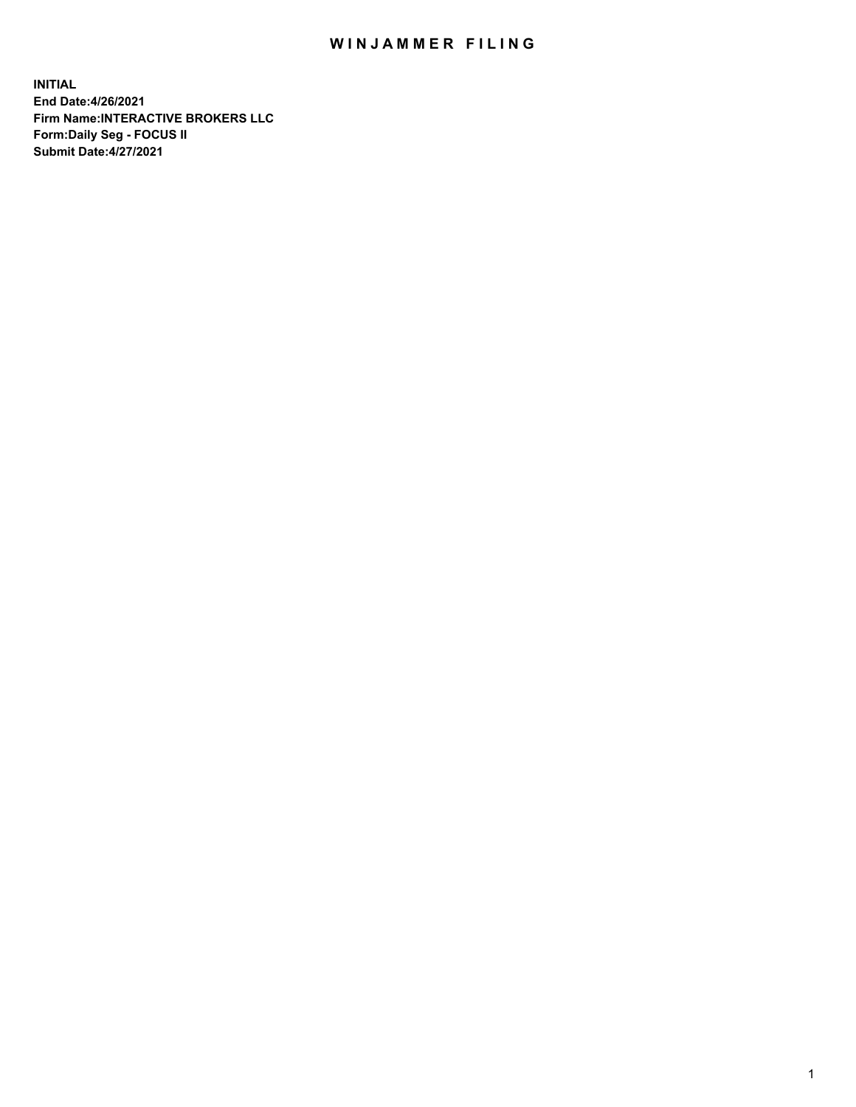## WIN JAMMER FILING

**INITIAL End Date:4/26/2021 Firm Name:INTERACTIVE BROKERS LLC Form:Daily Seg - FOCUS II Submit Date:4/27/2021**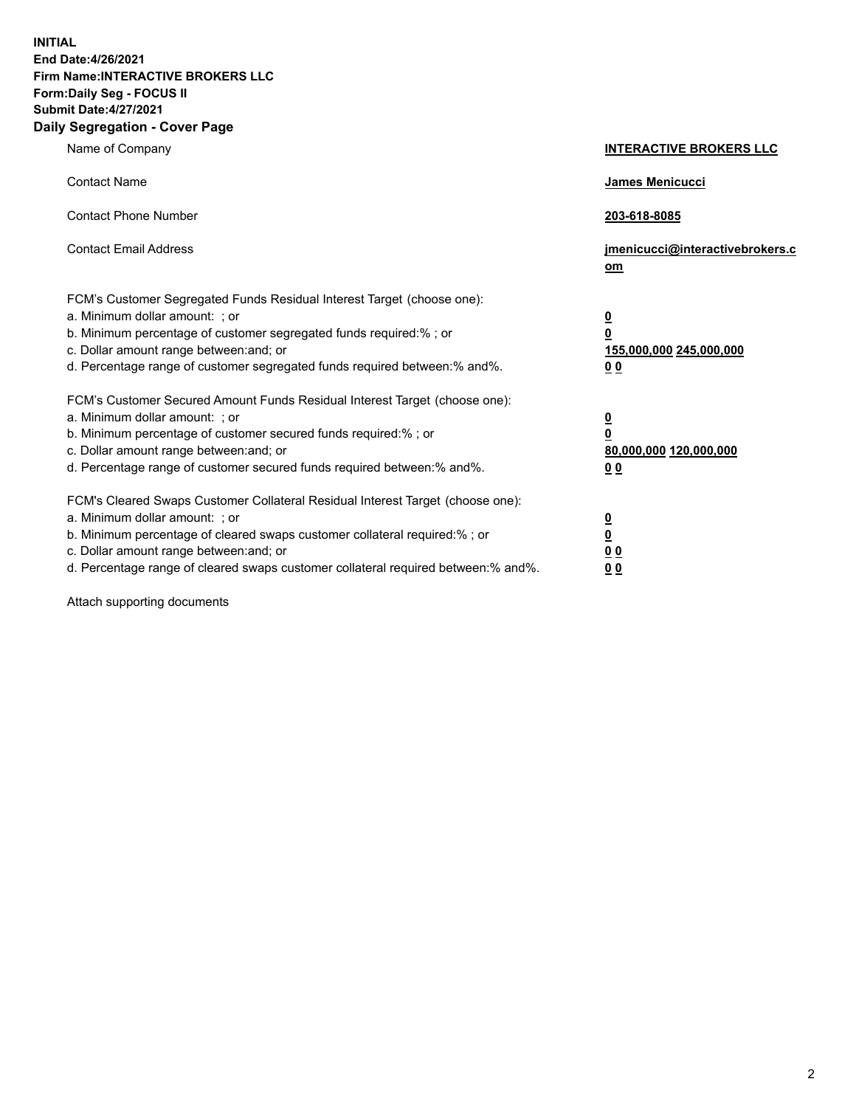**INITIAL End Date:4/26/2021 Firm Name:INTERACTIVE BROKERS LLC Form:Daily Seg - FOCUS II Submit Date:4/27/2021 Daily Segregation - Cover Page**

| Name of Company                                                                                                                                                                                                                                                                                                               | <b>INTERACTIVE BROKERS LLC</b>                                                            |  |
|-------------------------------------------------------------------------------------------------------------------------------------------------------------------------------------------------------------------------------------------------------------------------------------------------------------------------------|-------------------------------------------------------------------------------------------|--|
| <b>Contact Name</b>                                                                                                                                                                                                                                                                                                           | James Menicucci                                                                           |  |
| <b>Contact Phone Number</b>                                                                                                                                                                                                                                                                                                   | 203-618-8085                                                                              |  |
| <b>Contact Email Address</b>                                                                                                                                                                                                                                                                                                  | jmenicucci@interactivebrokers.c<br><u>om</u>                                              |  |
| FCM's Customer Segregated Funds Residual Interest Target (choose one):<br>a. Minimum dollar amount: ; or<br>b. Minimum percentage of customer segregated funds required:% ; or<br>c. Dollar amount range between: and; or<br>d. Percentage range of customer segregated funds required between: % and %.                      | $\overline{\mathbf{0}}$<br>0<br>155,000,000 245,000,000<br>0 <sub>0</sub>                 |  |
| FCM's Customer Secured Amount Funds Residual Interest Target (choose one):<br>a. Minimum dollar amount: ; or<br>b. Minimum percentage of customer secured funds required:%; or<br>c. Dollar amount range between: and; or<br>d. Percentage range of customer secured funds required between:% and%.                           | <u>0</u><br>$\overline{\mathbf{0}}$<br>80,000,000 120,000,000<br>00                       |  |
| FCM's Cleared Swaps Customer Collateral Residual Interest Target (choose one):<br>a. Minimum dollar amount: ; or<br>b. Minimum percentage of cleared swaps customer collateral required:%; or<br>c. Dollar amount range between: and; or<br>d. Percentage range of cleared swaps customer collateral required between:% and%. | <u>0</u><br>$\underline{\mathbf{0}}$<br>$\underline{0}$ $\underline{0}$<br>0 <sub>0</sub> |  |

Attach supporting documents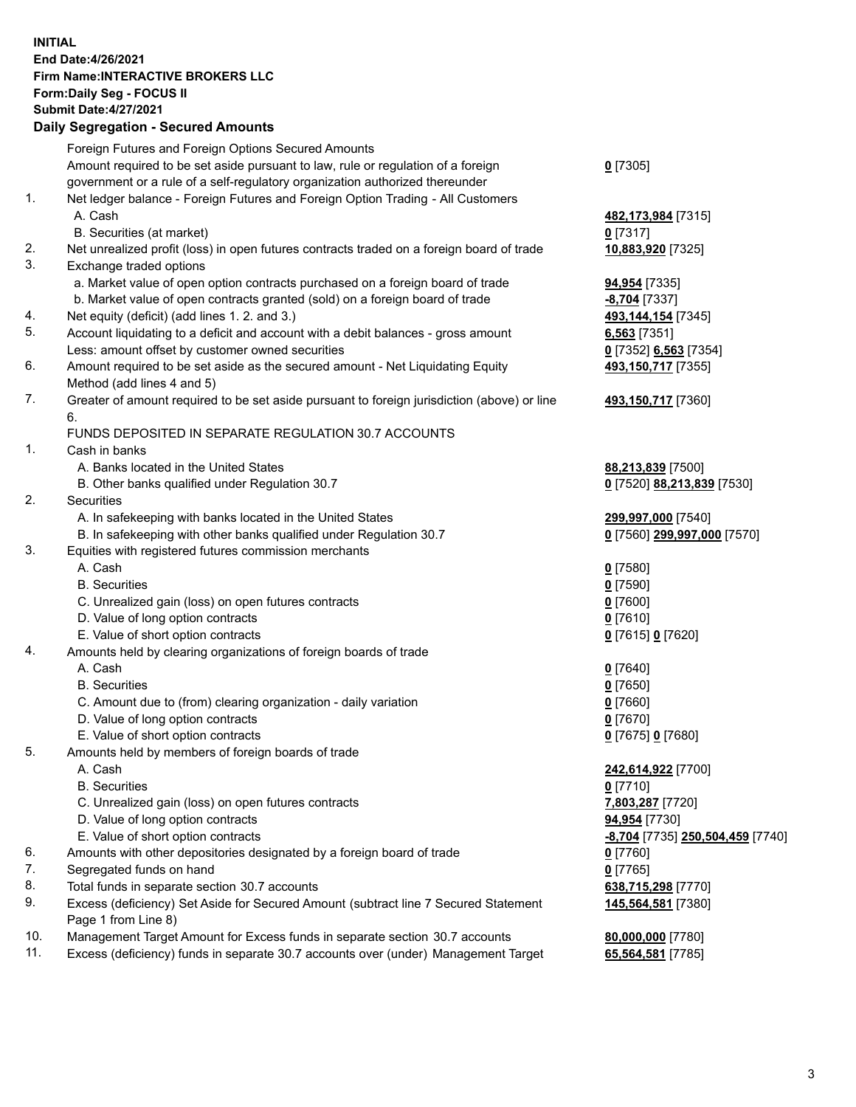**INITIAL End Date:4/26/2021 Firm Name:INTERACTIVE BROKERS LLC Form:Daily Seg - FOCUS II Submit Date:4/27/2021 Daily Segregation - Secured Amounts**

## Foreign Futures and Foreign Options Secured Amounts Amount required to be set aside pursuant to law, rule or regulation of a foreign government or a rule of a self-regulatory organization authorized thereunder **0** [7305] 1. Net ledger balance - Foreign Futures and Foreign Option Trading - All Customers A. Cash **482,173,984** [7315] B. Securities (at market) **0** [7317] 2. Net unrealized profit (loss) in open futures contracts traded on a foreign board of trade **10,883,920** [7325] 3. Exchange traded options a. Market value of open option contracts purchased on a foreign board of trade **94,954** [7335] b. Market value of open contracts granted (sold) on a foreign board of trade **-8,704** [7337] 4. Net equity (deficit) (add lines 1. 2. and 3.) **493,144,154** [7345] 5. Account liquidating to a deficit and account with a debit balances - gross amount **6,563** [7351] Less: amount offset by customer owned securities **0** [7352] **6,563** [7354] 6. Amount required to be set aside as the secured amount - Net Liquidating Equity Method (add lines 4 and 5) **493,150,717** [7355] 7. Greater of amount required to be set aside pursuant to foreign jurisdiction (above) or line 6. **493,150,717** [7360] FUNDS DEPOSITED IN SEPARATE REGULATION 30.7 ACCOUNTS 1. Cash in banks A. Banks located in the United States **88,213,839** [7500] B. Other banks qualified under Regulation 30.7 **0** [7520] **88,213,839** [7530] 2. Securities A. In safekeeping with banks located in the United States **299,997,000** [7540] B. In safekeeping with other banks qualified under Regulation 30.7 **0** [7560] **299,997,000** [7570] 3. Equities with registered futures commission merchants A. Cash **0** [7580] B. Securities **0** [7590] C. Unrealized gain (loss) on open futures contracts **0** [7600] D. Value of long option contracts **0** [7610] E. Value of short option contracts **0** [7615] **0** [7620] 4. Amounts held by clearing organizations of foreign boards of trade A. Cash **0** [7640] B. Securities **0** [7650] C. Amount due to (from) clearing organization - daily variation **0** [7660] D. Value of long option contracts **0** [7670] E. Value of short option contracts **0** [7675] **0** [7680] 5. Amounts held by members of foreign boards of trade A. Cash **242,614,922** [7700] B. Securities **0** [7710] C. Unrealized gain (loss) on open futures contracts **7,803,287** [7720] D. Value of long option contracts **94,954** [7730] E. Value of short option contracts **-8,704** [7735] **250,504,459** [7740] 6. Amounts with other depositories designated by a foreign board of trade **0** [7760] 7. Segregated funds on hand **0** [7765] 8. Total funds in separate section 30.7 accounts **638,715,298** [7770] 9. Excess (deficiency) Set Aside for Secured Amount (subtract line 7 Secured Statement Page 1 from Line 8) **145,564,581** [7380] 10. Management Target Amount for Excess funds in separate section 30.7 accounts **80,000,000** [7780] 11. Excess (deficiency) funds in separate 30.7 accounts over (under) Management Target **65,564,581** [7785]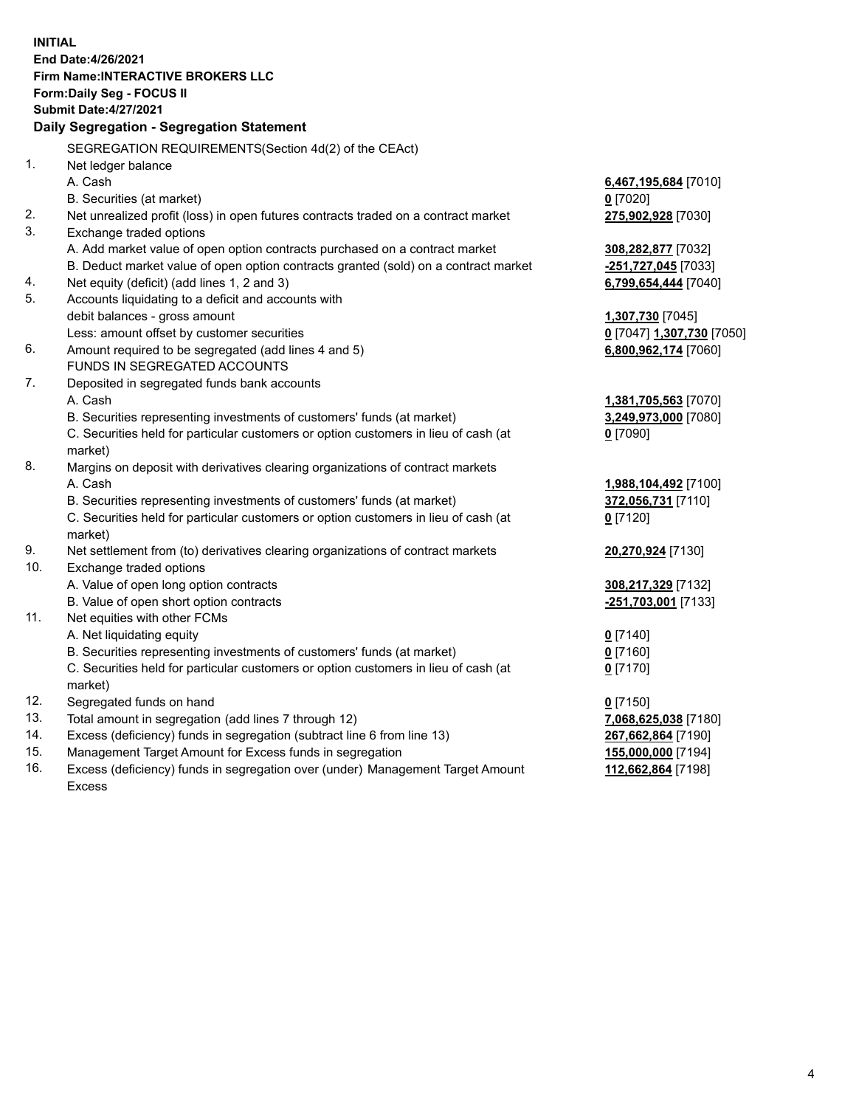**INITIAL End Date:4/26/2021 Firm Name:INTERACTIVE BROKERS LLC Form:Daily Seg - FOCUS II Submit Date:4/27/2021 Daily Segregation - Segregation Statement** SEGREGATION REQUIREMENTS(Section 4d(2) of the CEAct) 1. Net ledger balance A. Cash **6,467,195,684** [7010] B. Securities (at market) **0** [7020] 2. Net unrealized profit (loss) in open futures contracts traded on a contract market **275,902,928** [7030] 3. Exchange traded options A. Add market value of open option contracts purchased on a contract market **308,282,877** [7032] B. Deduct market value of open option contracts granted (sold) on a contract market **-251,727,045** [7033] 4. Net equity (deficit) (add lines 1, 2 and 3) **6,799,654,444** [7040] 5. Accounts liquidating to a deficit and accounts with debit balances - gross amount **1,307,730** [7045] Less: amount offset by customer securities **0** [7047] **1,307,730** [7050] 6. Amount required to be segregated (add lines 4 and 5) **6,800,962,174** [7060] FUNDS IN SEGREGATED ACCOUNTS 7. Deposited in segregated funds bank accounts A. Cash **1,381,705,563** [7070] B. Securities representing investments of customers' funds (at market) **3,249,973,000** [7080] C. Securities held for particular customers or option customers in lieu of cash (at market) **0** [7090] 8. Margins on deposit with derivatives clearing organizations of contract markets A. Cash **1,988,104,492** [7100] B. Securities representing investments of customers' funds (at market) **372,056,731** [7110] C. Securities held for particular customers or option customers in lieu of cash (at market) **0** [7120] 9. Net settlement from (to) derivatives clearing organizations of contract markets **20,270,924** [7130] 10. Exchange traded options A. Value of open long option contracts **308,217,329** [7132] B. Value of open short option contracts **-251,703,001** [7133] 11. Net equities with other FCMs A. Net liquidating equity **0** [7140] B. Securities representing investments of customers' funds (at market) **0** [7160] C. Securities held for particular customers or option customers in lieu of cash (at market) **0** [7170] 12. Segregated funds on hand **0** [7150] 13. Total amount in segregation (add lines 7 through 12) **7,068,625,038** [7180] 14. Excess (deficiency) funds in segregation (subtract line 6 from line 13) **267,662,864** [7190] 15. Management Target Amount for Excess funds in segregation **155,000,000** [7194] 16. Excess (deficiency) funds in segregation over (under) Management Target Amount **112,662,864** [7198]

Excess